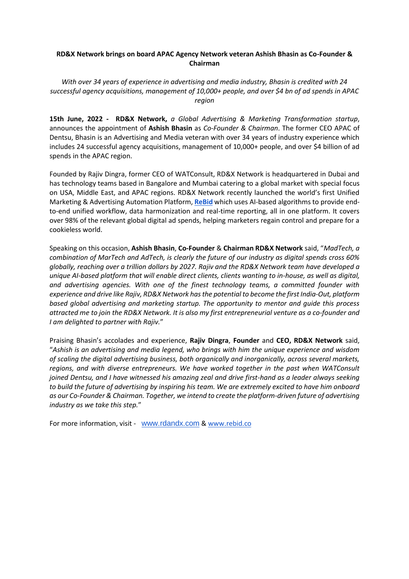## **RD&X Network brings on board APAC Agency Network veteran Ashish Bhasin as Co-Founder & Chairman**

*With over 34 years of experience in advertising and media industry, Bhasin is credited with 24 successful agency acquisitions, management of 10,000+ people, and over \$4 bn of ad spends in APAC region*

**15th June, 2022 - RD&X Network,** *a Global Advertising & Marketing Transformation startup*, announces the appointment of **Ashish Bhasin** as *Co-Founder & Chairman*. The former CEO APAC of Dentsu, Bhasin is an Advertising and Media veteran with over 34 years of industry experience which includes 24 successful agency acquisitions, management of 10,000+ people, and over \$4 billion of ad spends in the APAC region.

Founded by Rajiv Dingra, former CEO of WATConsult, RD&X Network is headquartered in Dubai and has technology teams based in Bangalore and Mumbai catering to a global market with special focus on USA, Middle East, and APAC regions. RD&X Network recently launched the world's first Unified Marketing & Advertising Automation Platform, **[ReBid](https://www.rebid.co/)** which uses AI-based algorithms to provide endto-end unified workflow, data harmonization and real-time reporting, all in one platform. It covers over 98% of the relevant global digital ad spends, helping marketers regain control and prepare for a cookieless world.

Speaking on this occasion, **Ashish Bhasin**, **Co-Founder** & **Chairman RD&X Network** said, "*MadTech, a combination of MarTech and AdTech, is clearly the future of our industry as digital spends cross 60% globally, reaching over a trillion dollars by 2027. Rajiv and the RD&X Network team have developed a unique AI-based platform that will enable direct clients, clients wanting to in-house, as well as digital, and advertising agencies. With one of the finest technology teams, a committed founder with experience and drive like Rajiv, RD&X Network has the potential to become the first India-Out, platform based global advertising and marketing startup. The opportunity to mentor and guide this process attracted me to join the RD&X Network. It is also my first entrepreneurial venture as a co-founder and I am delighted to partner with Rajiv.*"

Praising Bhasin's accolades and experience, **Rajiv Dingra**, **Founder** and **CEO, RD&X Network** said, "*Ashish is an advertising and media legend, who brings with him the unique experience and wisdom of scaling the digital advertising business, both organically and inorganically, across several markets, regions, and with diverse entrepreneurs. We have worked together in the past when WATConsult joined Dentsu, and I have witnessed his amazing zeal and drive first-hand as a leader always seeking to build the future of advertising by inspiring his team. We are extremely excited to have him onboard as our Co-Founder & Chairman. Together, we intend to create the platform-driven future of advertising industry as we take this step.*"

For more information, visit - [www.rdandx.com](http://www.rdandx.com/) [& www.rebid.co](http://www.rebid.co/)